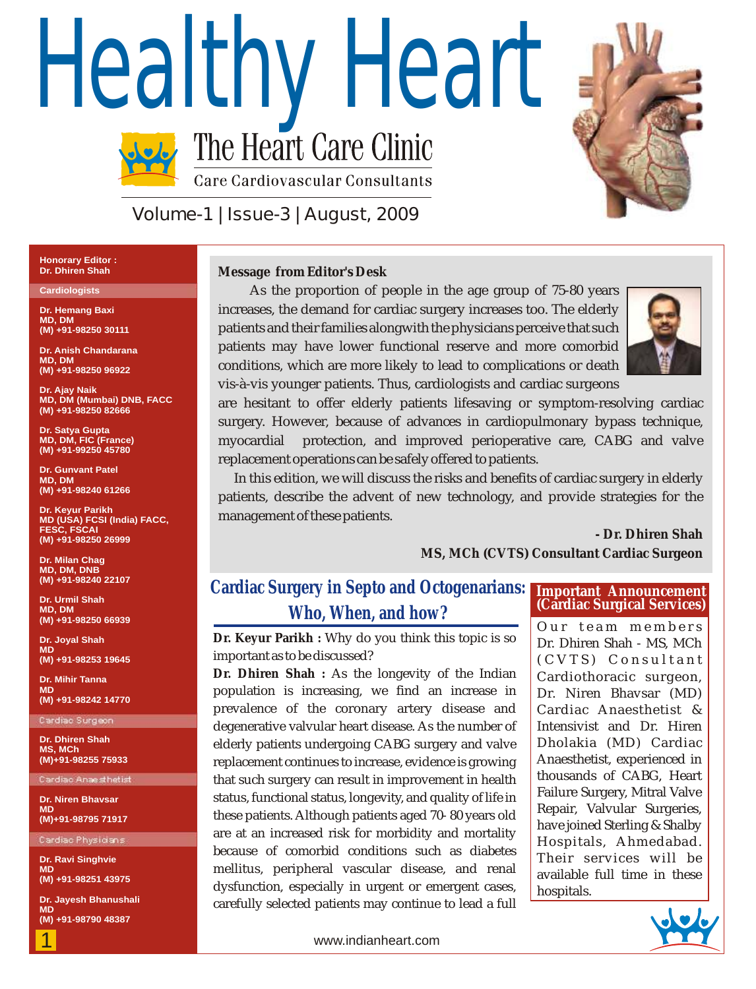# Healthy Heart<br>The Heart Care Clinic **Care Cardiovascular Consultants**



**Volume-1 | Issue-3 | August, 2009**

#### **Honorary Editor : Dr. Dhiren Shah**

#### **Cardiologists**

**Dr. Hemang Baxi MD, DM (M) +91-98250 30111**

**Dr. Anish Chandarana MD, DM (M) +91-98250 96922**

**Dr. Ajay Naik MD, DM (Mumbai) DNB, FACC (M) +91-98250 82666**

**Dr. Satya Gupta MD, DM, FIC (France) (M) +91-99250 45780**

**Dr. Gunvant Patel MD, DM (M) +91-98240 61266**

**Dr. Keyur Parikh MD (USA) FCSI (India) FACC, FESC, FSCAI (M) +91-98250 26999**

**Dr. Milan Chag MD, DM, DNB (M) +91-98240 22107**

**Dr. Urmil Shah MD, DM (M) +91-98250 66939**

**Dr. Joyal Shah MD (M) +91-98253 19645**

**Dr. Mihir Tanna MD (M) +91-98242 14770**

**Cardiac Surgeon**

**Dr. Dhiren Shah MS, MCh (M)+91-98255 75933**

**Cardiac Anaesthetist**

**Dr. Niren Bhavsar MD (M)+91-98795 71917**

**Cardiac Physicians**

**Dr. Ravi Singhvie MD (M) +91-98251 43975**

**Dr. Jayesh Bhanushali MD (M) +91-98790 48387**

1

**Message from Editor's Desk**

As the proportion of people in the age group of 75-80 years increases, the demand for cardiac surgery increases too. The elderly patients and their families alongwith the physicians perceive that such patients may have lower functional reserve and more comorbid conditions, which are more likely to lead to complications or death vis-à-vis younger patients. Thus, cardiologists and cardiac surgeons



are hesitant to offer elderly patients lifesaving or symptom-resolving cardiac surgery. However, because of advances in cardiopulmonary bypass technique, myocardial protection, and improved perioperative care, CABG and valve replacement operations can be safely offered to patients.

 In this edition, we will discuss the risks and benefits of cardiac surgery in elderly patients, describe the advent of new technology, and provide strategies for the management of these patients.

> **- Dr. Dhiren Shah MS, MCh (CVTS) Consultant Cardiac Surgeon**

# **Cardiac Surgery in Septo and Octogenarians: Who, When, and how?**

**Dr. Keyur Parikh :** Why do you think this topic is so important as to be discussed?

**Dr. Dhiren Shah :** As the longevity of the Indian population is increasing, we find an increase in prevalence of the coronary artery disease and degenerative valvular heart disease. As the number of elderly patients undergoing CABG surgery and valve replacement continues to increase, evidence is growing that such surgery can result in improvement in health status, functional status, longevity, and quality of life in these patients. Although patients aged 70- 80 years old are at an increased risk for morbidity and mortality because of comorbid conditions such as diabetes mellitus, peripheral vascular disease, and renal dysfunction, especially in urgent or emergent cases, carefully selected patients may continue to lead a full

#### **Important Announcement (Cardiac Surgical Services)**

Our team members Dr. Dhiren Shah - MS, MCh (CVTS) Consultant Cardiothoracic surgeon, Dr. Niren Bhavsar (MD) Cardiac Anaesthetist & Intensivist and Dr. Hiren Dholakia (MD) Cardiac Anaesthetist, experienced in thousands of CABG, Heart Failure Surgery, Mitral Valve Repair, Valvular Surgeries, have joined Sterling & Shalby Hospitals, Ahmedabad. Their services will be available full time in these hospitals.



www.indianheart.com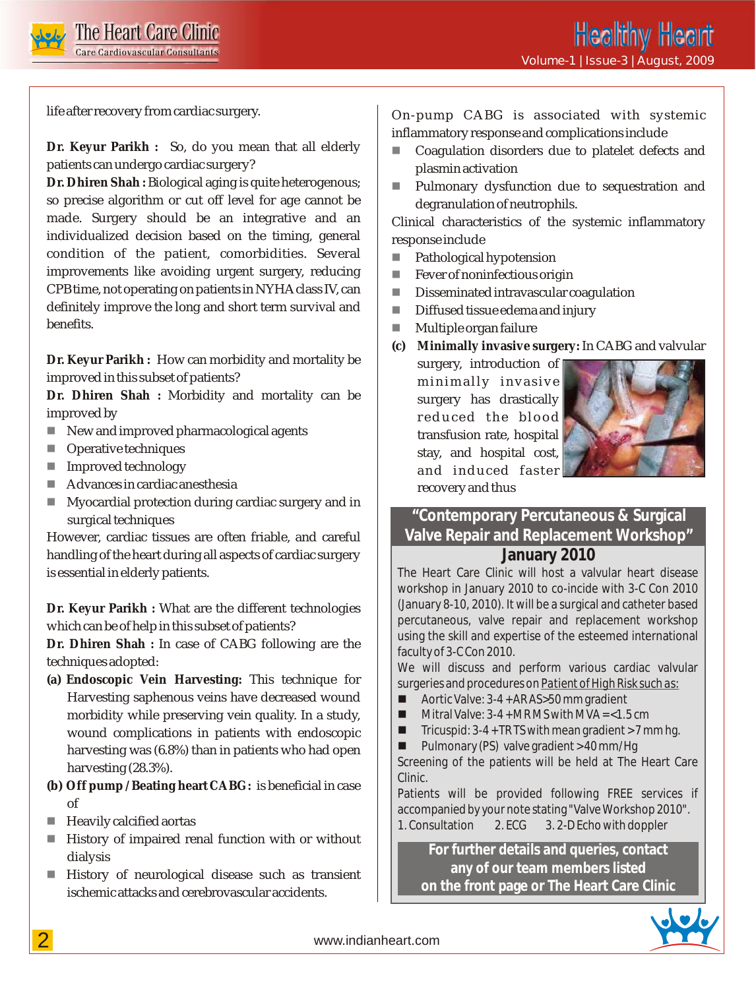

life after recovery from cardiac surgery.

**Dr. Keyur Parikh :** So, do you mean that all elderly patients can undergo cardiac surgery?

**Dr. Dhiren Shah :** Biological aging is quite heterogenous; so precise algorithm or cut off level for age cannot be made. Surgery should be an integrative and an individualized decision based on the timing, general condition of the patient, comorbidities. Several improvements like avoiding urgent surgery, reducing CPB time, not operating on patients in NYHA class IV, can definitely improve the long and short term survival and benefits.

**Dr. Keyur Parikh :** How can morbidity and mortality be improved in this subset of patients?

**Dr. Dhiren Shah :** Morbidity and mortality can be improved by

- New and improved pharmacological agents
- **Derative techniques**
- Improved technology
- Advances in cardiac anesthesia
- Myocardial protection during cardiac surgery and in surgical techniques n

However, cardiac tissues are often friable, and careful handling of the heart during all aspects of cardiac surgery is essential in elderly patients.

**Dr. Keyur Parikh :** What are the different technologies which can be of help in this subset of patients?

**Dr. Dhiren Shah :** In case of CABG following are the techniques adopted:

- **(a) Endoscopic Vein Harvesting:** This technique for Harvesting saphenous veins have decreased wound morbidity while preserving vein quality. In a study, wound complications in patients with endoscopic harvesting was (6.8%) than in patients who had open harvesting (28.3%).
- **(b) Off pump / Beating heart CABG:** is beneficial in case of
- Heavily calcified aortas
- History of impaired renal function with or without dialysis
- **History of neurological disease such as transient** ischemic attacks and cerebrovascular accidents.

On-pump CABG is associated with systemic inflammatory response and complications include

- Coagulation disorders due to platelet defects and plasmin activation
- Pulmonary dysfunction due to sequestration and degranulation of neutrophils. n

Clinical characteristics of the systemic inflammatory response include

- Pathological hypotension n
- Fever of noninfectious origin n
- Disseminated intravascular coagulation n
- Diffused tissue edema and injury n
- Multiple organ failure n

**(c) Minimally invasive surgery:** In CABG and valvular

surgery, introduction of minimally invasive surgery has drastically reduced the blood transfusion rate, hospital stay, and hospital cost, and induced faster recovery and thus



## **"Contemporary Percutaneous & Surgical Valve Repair and Replacement Workshop" January 2010**

The Heart Care Clinic will host a valvular heart disease workshop in January 2010 to co-incide with 3-C Con 2010 (January 8-10, 2010). It will be a surgical and catheter based percutaneous, valve repair and replacement workshop using the skill and expertise of the esteemed international faculty of 3-C Con 2010.

We will discuss and perform various cardiac valvular surgeries and procedures on *Patient of High Risk such as*:

- $\blacksquare$  Aortic Valve: 3-4 + AR AS>50 mm gradient
- $\blacksquare$  Mitral Valve: 3-4 + MRMS with MVA = <1.5 cm
- $\blacksquare$  Tricuspid: 3-4 + TR TS with mean gradient > 7 mm hg.
- $\blacksquare$  Pulmonary (PS) valve gradient > 40 mm/Hg

Screening of the patients will be held at The Heart Care Clinic.

Patients will be provided following FREE services if accompanied by your note stating "Valve Workshop 2010". 1. Consultation 2. ECG 3. 2-D Echo with doppler

**For further details and queries, contact any of our team members listed on the front page or The Heart Care Clinic**

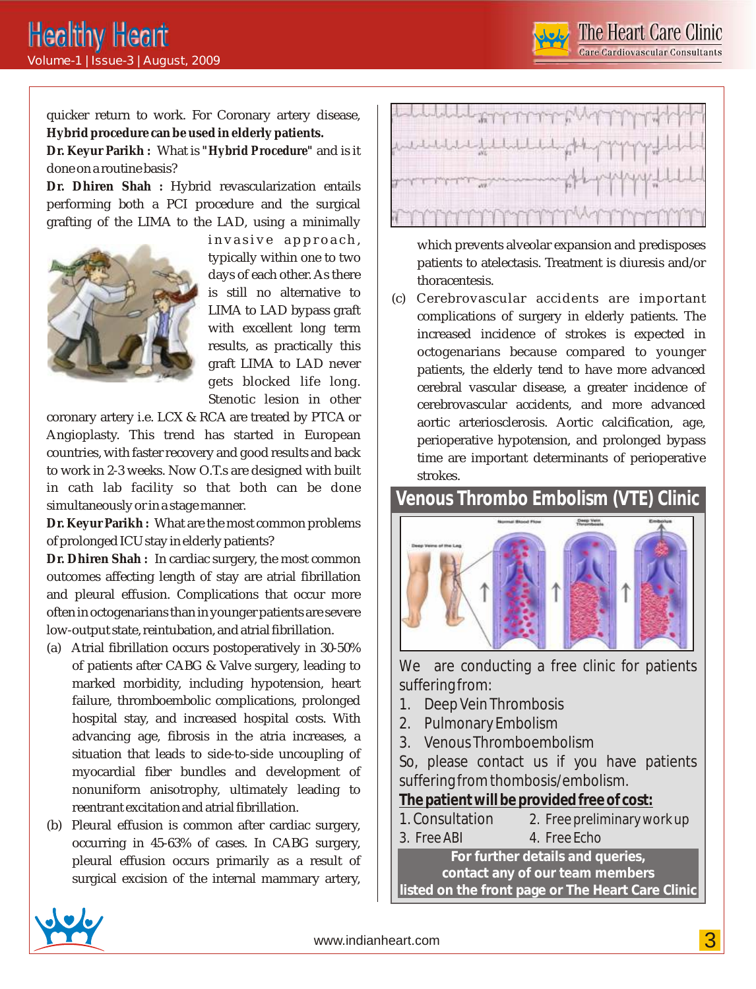The Heart Care Clinic **e Cardiovascular Consultants** 

quicker return to work. For Coronary artery disease, **Hybrid procedure can be used in elderly patients.**

**Dr. Keyur Parikh :** What is *"Hybrid Procedure"* and is it done on a routine basis?

**Dr. Dhiren Shah :** Hybrid revascularization entails performing both a PCI procedure and the surgical grafting of the LIMA to the LAD, using a minimally



invasive approach, typically within one to two days of each other. As there is still no alternative to LIMA to LAD bypass graft with excellent long term results, as practically this graft LIMA to LAD never gets blocked life long. Stenotic lesion in other

coronary artery i.e. LCX & RCA are treated by PTCA or Angioplasty. This trend has started in European countries, with faster recovery and good results and back to work in 2-3 weeks. Now O.T.s are designed with built in cath lab facility so that both can be done simultaneously or in a stage manner.

**Dr. Keyur Parikh :** What are the most common problems of prolonged ICU stay in elderly patients?

**Dr. Dhiren Shah :** In cardiac surgery, the most common outcomes affecting length of stay are atrial fibrillation and pleural effusion. Complications that occur more often in octogenarians than in younger patients are severe low-output state, reintubation, and atrial fibrillation.

- (a) Atrial fibrillation occurs postoperatively in 30-50% of patients after CABG & Valve surgery, leading to marked morbidity, including hypotension, heart failure, thromboembolic complications, prolonged hospital stay, and increased hospital costs. With advancing age, fibrosis in the atria increases, a situation that leads to side-to-side uncoupling of myocardial fiber bundles and development of nonuniform anisotrophy, ultimately leading to reentrant excitation and atrial fibrillation.
- (b) Pleural effusion is common after cardiac surgery, occurring in 45-63% of cases. In CABG surgery, pleural effusion occurs primarily as a result of surgical excision of the internal mammary artery,



which prevents alveolar expansion and predisposes patients to atelectasis. Treatment is diuresis and/or thoracentesis.

(c) Cerebrovascular accidents are important complications of surgery in elderly patients. The increased incidence of strokes is expected in octogenarians because compared to younger patients, the elderly tend to have more advanced cerebral vascular disease, a greater incidence of cerebrovascular accidents, and more advanced aortic arteriosclerosis. Aortic calcification, age, perioperative hypotension, and prolonged bypass time are important determinants of perioperative strokes.

# **Venous Thrombo Embolism (VTE) Clinic**



We are conducting a free clinic for patients suffering from:

- 1. Deep Vein Thrombosis
- 2. Pulmonary Embolism
- 3. Venous Thromboembolism

So, please contact us if you have patients suffering from thombosis/embolism.

**The patient will be provided free of cost:**

1. Consultation 2. Free preliminary work up 3. Free ABI 4. Free Echo

**For further details and queries, contact any of our team members listed on the front page or The Heart Care Clinic**

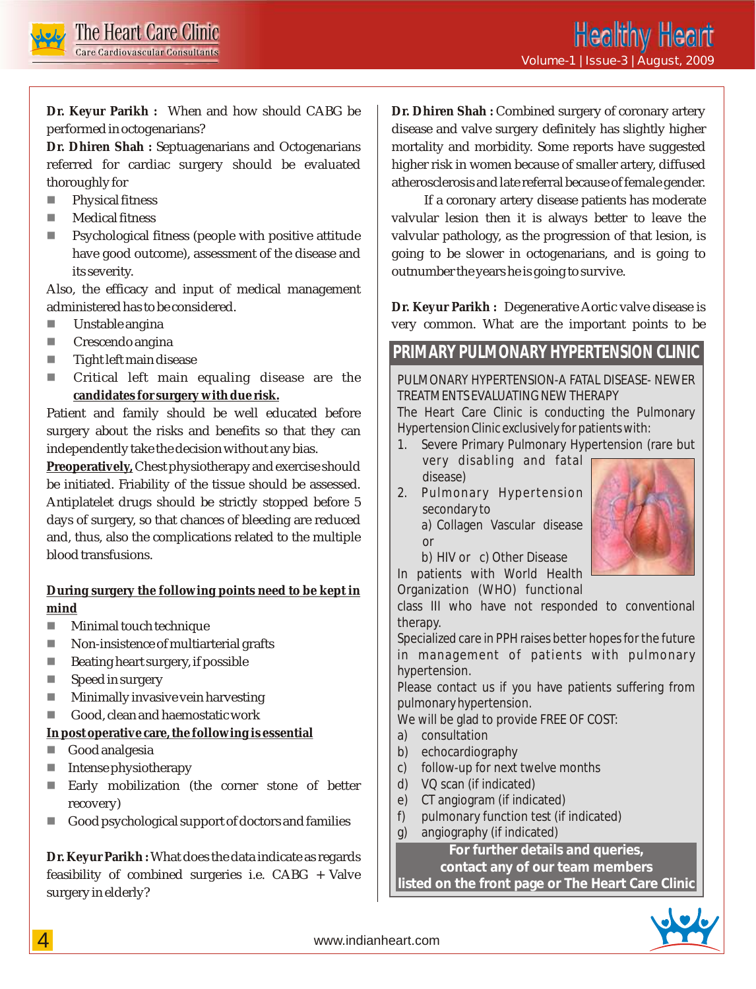

**Dr. Keyur Parikh :** When and how should CABG be performed in octogenarians?

**Dr. Dhiren Shah :** Septuagenarians and Octogenarians referred for cardiac surgery should be evaluated thoroughly for

- Physical fitness n
- Medical fitness n
- Psychological fitness (people with positive attitude have good outcome), assessment of the disease and its severity. n

Also, the efficacy and input of medical management administered has to be considered.

- Unstable angina n
- Crescendo angina n
- Tight left main disease n
- Critical left main equaling disease are the **candidates for surgery with due risk.**  n

Patient and family should be well educated before surgery about the risks and benefits so that they can independently take the decision without any bias.

**Preoperatively,** Chest physiotherapy and exercise should be initiated. Friability of the tissue should be assessed. Antiplatelet drugs should be strictly stopped before 5 days of surgery, so that chances of bleeding are reduced and, thus, also the complications related to the multiple blood transfusions.

**During surgery the following points need to be kept in mind**

- Minimal touch technique n
- Non-insistence of multiarterial grafts n
- Beating heart surgery, if possible n
- Speed in surgery n
- Minimally invasive vein harvesting n
- Good, clean and haemostatic work n

**In post operative care, the following is essential** 

- Good analgesia
- Intense physiotherapy n
- Early mobilization (the corner stone of better recovery) n
- Good psychological support of doctors and families n

**Dr. Keyur Parikh :** What does the data indicate as regards feasibility of combined surgeries i.e. CABG + Valve surgery in elderly?

**Dr. Dhiren Shah :** Combined surgery of coronary artery disease and valve surgery definitely has slightly higher mortality and morbidity. Some reports have suggested higher risk in women because of smaller artery, diffused atherosclerosis and late referral because of female gender.

 If a coronary artery disease patients has moderate valvular lesion then it is always better to leave the valvular pathology, as the progression of that lesion, is going to be slower in octogenarians, and is going to outnumber the years he is going to survive.

**Dr. Keyur Parikh :** Degenerative Aortic valve disease is very common. What are the important points to be

# **PRIMARY PULMONARY HYPERTENSION CLINIC**

PULMONARY HYPERTENSION-A FATAL DISEASE- NEWER TREATMENTS EVALUATING NEW THERAPY

The Heart Care Clinic is conducting the Pulmonary Hypertension Clinic exclusively for patients with:

- 1. Severe Primary Pulmonary Hypertension (rare but very disabling and fatal
	- disease)
- 2. Pulmonary Hypertension secondary to a) Collagen Vascular disease or



b) HIV or c) Other Disease

In patients with World Health Organization (WHO) functional

class III who have not responded to conventional therapy.

Specialized care in PPH raises better hopes for the future in management of patients with pulmonary hypertension.

Please contact us if you have patients suffering from pulmonary hypertension.

We will be glad to provide FREE OF COST:

- a) consultation
- b) echocardiography
- c) follow-up for next twelve months
- d) VQ scan (if indicated)
- e) CT angiogram (if indicated)
- f) pulmonary function test (if indicated)
- g) angiography (if indicated)

**For further details and queries,**

**contact any of our team members**

**listed on the front page or The Heart Care Clinic**

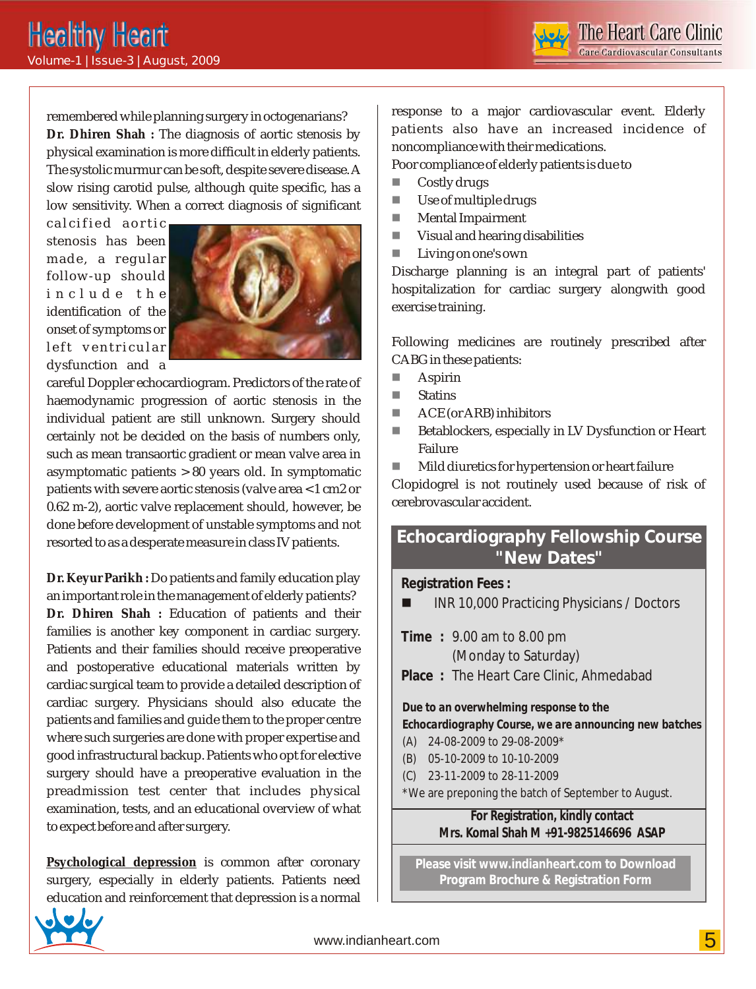remembered while planning surgery in octogenarians? **Dr. Dhiren Shah :** The diagnosis of aortic stenosis by physical examination is more difficult in elderly patients. The systolic murmur can be soft, despite severe disease. A slow rising carotid pulse, although quite specific, has a low sensitivity. When a correct diagnosis of significant

calcified aortic stenosis has been made, a regular follow-up should include the identification of the onset of symptoms or left ventricular dysfunction and a



careful Doppler echocardiogram. Predictors of the rate of haemodynamic progression of aortic stenosis in the individual patient are still unknown. Surgery should certainly not be decided on the basis of numbers only, such as mean transaortic gradient or mean valve area in asymptomatic patients > 80 years old. In symptomatic patients with severe aortic stenosis (valve area < 1 cm2 or 0.62 m-2), aortic valve replacement should, however, be done before development of unstable symptoms and not resorted to as a desperate measure in class IV patients.

**Dr. Keyur Parikh :** Do patients and family education play an important role in the management of elderly patients? **Dr. Dhiren Shah :** Education of patients and their families is another key component in cardiac surgery. Patients and their families should receive preoperative and postoperative educational materials written by cardiac surgical team to provide a detailed description of cardiac surgery. Physicians should also educate the patients and families and guide them to the proper centre where such surgeries are done with proper expertise and good infrastructural backup. Patients who opt for elective surgery should have a preoperative evaluation in the preadmission test center that includes physical examination, tests, and an educational overview of what to expect before and after surgery.

**Psychological depression** is common after coronary surgery, especially in elderly patients. Patients need education and reinforcement that depression is a normal response to a major cardiovascular event. Elderly patients also have an increased incidence of noncompliance with their medications.

Poor compliance of elderly patients is due to

- Costly drugs n
- Use of multiple drugs n
- Mental Impairment n
- Visual and hearing disabilities n
- Living on one's own n

Discharge planning is an integral part of patients' hospitalization for cardiac surgery alongwith good exercise training.

Following medicines are routinely prescribed after CABG in these patients:

- Aspirin n
- Statins n
- ACE (or ARB) inhibitors n
- Betablockers, especially in LV Dysfunction or Heart Failure n
- Mild diuretics for hypertension or heart failure n

Clopidogrel is not routinely used because of risk of cerebrovascular accident.

# **Echocardiography Fellowship Course "New Dates"**

**Registration Fees :** 

- INR 10,000 Practicing Physicians / Doctors
- **Time :** 9.00 am to 8.00 pm

(Monday to Saturday)

**Place :** The Heart Care Clinic, Ahmedabad

*Due to an overwhelming response to the Echocardiography Course, we are announcing new batches*

- (A) 24-08-2009 to 29-08-2009\*
- (B) 05-10-2009 to 10-10-2009
- (C) 23-11-2009 to 28-11-2009

\*We are preponing the batch of September to August.

**For Registration, kindly contact Mrs. Komal Shah M +91-9825146696 ASAP**

**Please visit www.indianheart.com to Download Program Brochure & Registration Form**

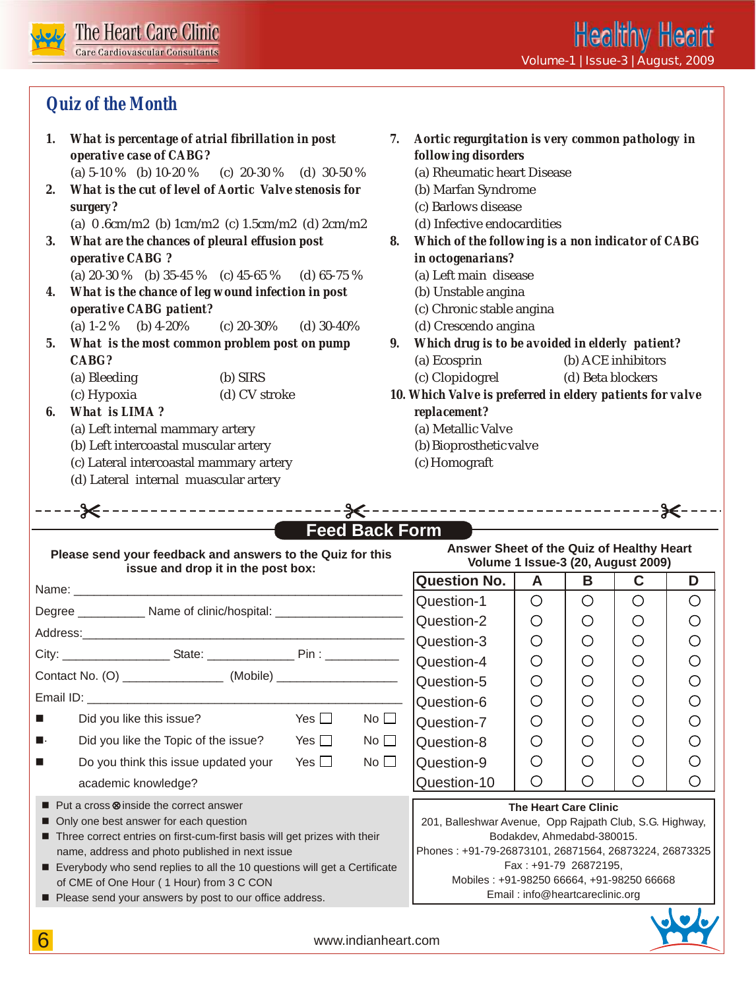

# **Quiz of the Month**

| 1.<br>2.             | What is percentage of atrial fibrillation in post<br>7.<br>operative case of CABG?<br>(a) $5-10\%$ (b) $10-20\%$ (c) $20-30\%$ (d) $30-50\%$<br>What is the cut of level of Aortic Valve stenosis for          |               |                       | Aortic regurgitation is very common pathology in<br>following disorders<br>(a) Rheumatic heart Disease<br>(b) Marfan Syndrome                         |                 |                          |                                           |        |
|----------------------|----------------------------------------------------------------------------------------------------------------------------------------------------------------------------------------------------------------|---------------|-----------------------|-------------------------------------------------------------------------------------------------------------------------------------------------------|-----------------|--------------------------|-------------------------------------------|--------|
|                      | surgery?                                                                                                                                                                                                       |               |                       | (c) Barlows disease                                                                                                                                   |                 |                          |                                           |        |
| 3.                   | (a) $0.6cm/m2$ (b) $1cm/m2$ (c) $1.5cm/m2$ (d) $2cm/m2$<br>What are the chances of pleural effusion post<br>operative CABG?                                                                                    |               |                       | (d) Infective endocardities<br>Which of the following is a non indicator of CABG<br>8.<br>in octogenarians?<br>(a) Left main disease                  |                 |                          |                                           |        |
| 4.                   | (a) $20-30\%$ (b) $35-45\%$ (c) $45-65\%$ (d) $65-75\%$<br>What is the chance of leg wound infection in post<br>operative CABG patient?                                                                        |               |                       | (b) Unstable angina<br>(c) Chronic stable angina                                                                                                      |                 |                          |                                           |        |
| 5.                   | (a) $1-2\%$ (b) $4-20\%$<br>(c) $20-30\%$ (d) $30-40\%$<br>What is the most common problem post on pump<br>$CABG$ ?<br>(a) Bleeding<br>(b) SIRS                                                                |               |                       | (d) Crescendo angina<br>Which drug is to be avoided in elderly patient?<br>(b) ACE inhibitors<br>(a) Ecosprin<br>(c) Clopidogrel<br>(d) Beta blockers |                 |                          |                                           |        |
| 6.                   | (c) Hypoxia<br>(d) CV stroke<br>What is LIMA?<br>(a) Left internal mammary artery<br>(b) Left intercoastal muscular artery<br>(c) Lateral intercoastal mammary artery<br>(d) Lateral internal muascular artery |               |                       | 10. Which Valve is preferred in eldery patients for valve<br>replacement?<br>(a) Metallic Valve<br>(b) Bioprosthetic valve<br>(c) Homograft           |                 |                          |                                           |        |
|                      |                                                                                                                                                                                                                |               |                       |                                                                                                                                                       |                 |                          |                                           |        |
|                      |                                                                                                                                                                                                                |               |                       |                                                                                                                                                       |                 |                          |                                           |        |
|                      | Please send your feedback and answers to the Quiz for this                                                                                                                                                     |               | <b>Feed Back Form</b> | Answer Sheet of the Quiz of Healthy Heart                                                                                                             |                 |                          | <b>Volume 1 Issue-3 (20, August 2009)</b> |        |
|                      | issue and drop it in the post box:                                                                                                                                                                             |               |                       | <b>Question No.</b>                                                                                                                                   | A               | B                        | $\mathbf c$                               | D      |
|                      | Degree ____________ Name of clinic/hospital: __________________                                                                                                                                                |               |                       | Question-1<br>Question-2                                                                                                                              | $\bigcirc$<br>О | $\bigcirc$<br>$\bigcirc$ | $\bigcirc$<br>О                           | O<br>О |
|                      |                                                                                                                                                                                                                |               |                       | Question-3                                                                                                                                            | О               | O                        | O                                         | O      |
|                      | Contact No. (O) _____________________ (Mobile) _________________________________                                                                                                                               |               |                       | Question-4<br>Question-5                                                                                                                              | $\bigcirc$<br>O | $\bigcirc$<br>O          | $\bigcirc$<br>O                           | O<br>O |
| $\blacksquare$       | Did you like this issue?                                                                                                                                                                                       | Yes $\square$ | No                    | Question-6<br>Question-7                                                                                                                              | О<br>О          | O<br>O                   | Ő<br>О                                    | O<br>О |
|                      | Did you like the Topic of the issue?                                                                                                                                                                           | Yes $\square$ | No                    | Question-8                                                                                                                                            | О               | O                        | О                                         | O      |
| П.<br>$\blacksquare$ | Do you think this issue updated your<br>academic knowledge?                                                                                                                                                    | Yes $\square$ | No                    | Question-9<br>Question-10                                                                                                                             | O<br>О          | $\bigcirc$<br>O          | O<br>О                                    | O<br>O |

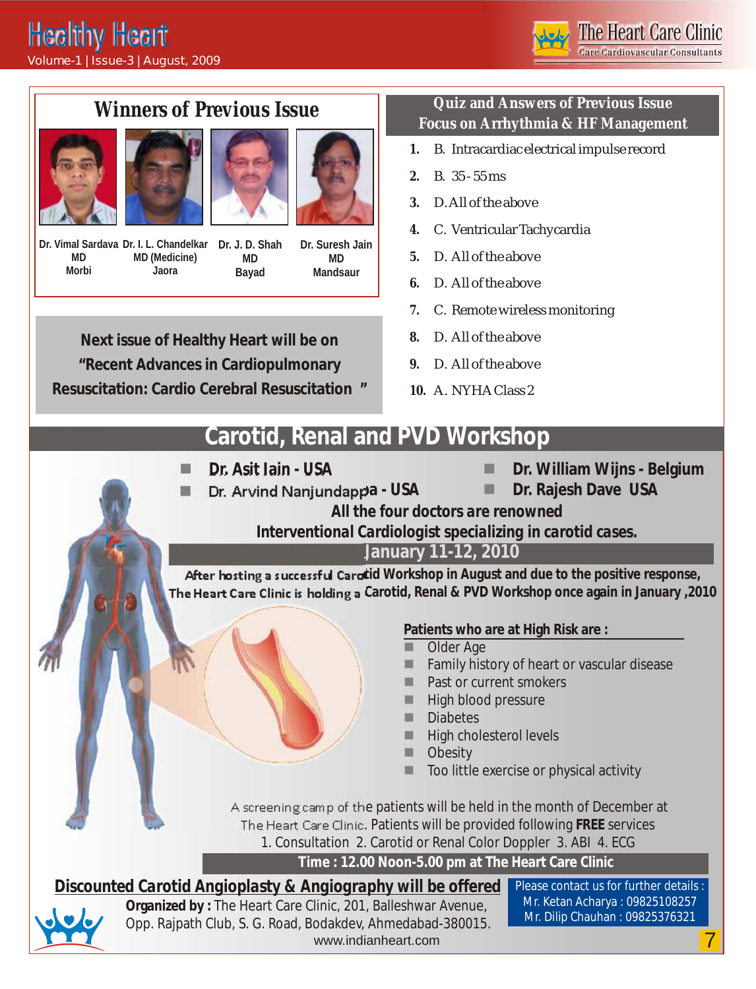

# **Winners of Previous Issue**







**Dr. Vimal Sardava Dr. I. L. Chandelkar Dr. J. D. Shah MD Morbi MD (Medicine) Jaora**

**MD Bayad**

**Dr. Suresh Jain MD Mandsaur**

**Next issue of Healthy Heart will be on "Recent Advances in Cardiopulmonary Resuscitation: Cardio Cerebral Resuscitation "**

### **Quiz and Answers of Previous Issue Focus on Arrhythmia & HF Management**

- *1.* B. Intracardiac electrical impulse record
- *2.* B. 35 55 ms
- *3.* D. All of the above
- *4.* C. Ventricular Tachycardia
- *5.* D. All of the above
- *6.* D. All of the above
- *7.* C. Remote wireless monitoring
- *8.* D. All of the above
- *9.* D. All of the above
- *10.* A. NYHA Class 2

# **Carotid, Renal and PVD Workshop**

Dr. Asit Jain - USA

- **Dr. William Wijns Belgium**
- 
- 
- **n Dr. Arvind Nanjundappa USA Dr. Rajesh Dave USA**
- - *All the four doctors are renowned*
	- *Interventional Cardiologist specializing in carotid cases.*

**January 11-12, 2010**

After hosting a successful Carotid Workshop in August and due to the positive response, **The Heart Care Clinic is holding a Carotid, Renal & PVD Workshop once again in January ,2010**

**Patients who are at High Risk are :** 

- Older Age n
- Family history of heart or vascular disease n
- Past or current smokers n
- High blood pressure n
- **Diabetes** n
- High cholesterol levels n
- **Obesity** n
- Too little exercise or physical activity n

 A screening camp of the patients will be held in the month of December at The Heart Care Clinic. Patients will be provided following **FREE** services 1. Consultation 2. Carotid or Renal Color Doppler 3. ABI 4. ECG

**Time : 12.00 Noon-5.00 pm at The Heart Care Clinic** 

www.indianheart.com 7 *Discounted Carotid Angioplasty & Angiography will be offered* Please contact us for further details : **Organized by :** The Heart Care Clinic, 201, Balleshwar Avenue, Opp. Rajpath Club, S. G. Road, Bodakdev, Ahmedabad-380015.

Mr. Ketan Acharya : 09825108257 Mr. Dilip Chauhan : 09825376321